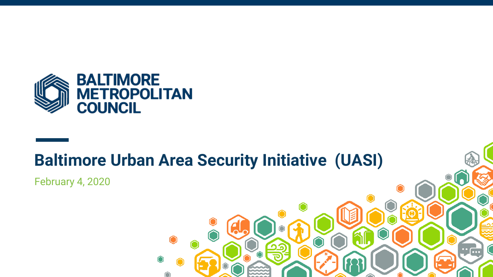

### **Baltimore Urban Area Security Initiative (UASI)**

February 4, 2020

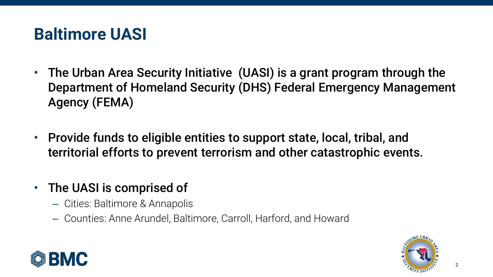## **Baltimore UASI**

- The Urban Area Security Initiative (UASI) is a grant program through the Department of Homeland Security (DHS) Federal Emergency Management Agency (FEMA)
- Provide funds to eligible entities to support state, local, tribal, and territorial efforts to prevent terrorism and other catastrophic events.
- The UASI is comprised of
	- Cities: Baltimore & Annapolis
	- Counties: Anne Arundel, Baltimore, Carroll, Harford, and Howard



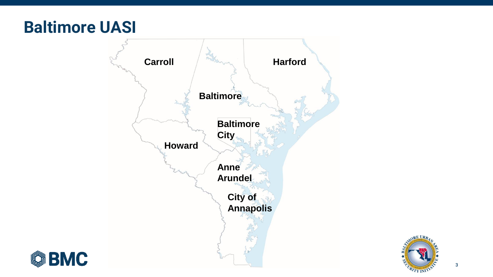## **Baltimore UASI**

S



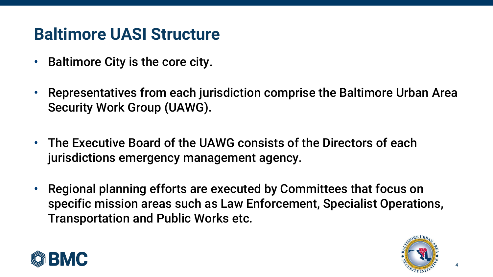## **Baltimore UASI Structure**

- Baltimore City is the core city.
- Representatives from each jurisdiction comprise the Baltimore Urban Area Security Work Group (UAWG).
- The Executive Board of the UAWG consists of the Directors of each jurisdictions emergency management agency.
- Regional planning efforts are executed by Committees that focus on specific mission areas such as Law Enforcement, Specialist Operations, Transportation and Public Works etc.



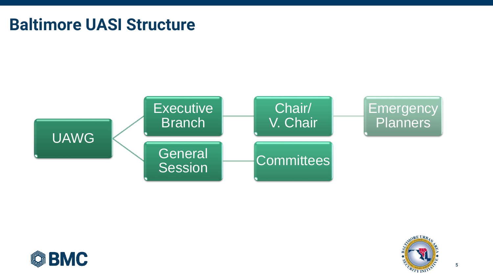### **Baltimore UASI Structure**







5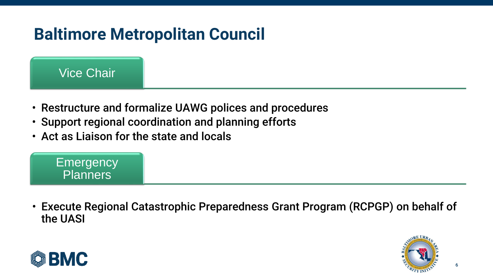# **Baltimore Metropolitan Council**

#### Vice Chair

- Restructure and formalize UAWG polices and procedures
- Support regional coordination and planning efforts
- Act as Liaison for the state and locals

#### **Emergency Planners**

• Execute Regional Catastrophic Preparedness Grant Program (RCPGP) on behalf of the UASI



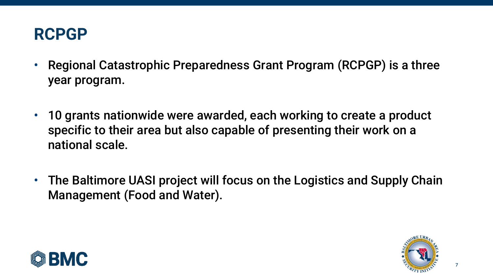### **RCPGP**

- Regional Catastrophic Preparedness Grant Program (RCPGP) is a three year program.
- 10 grants nationwide were awarded, each working to create a product specific to their area but also capable of presenting their work on a national scale.
- The Baltimore UASI project will focus on the Logistics and Supply Chain Management (Food and Water).